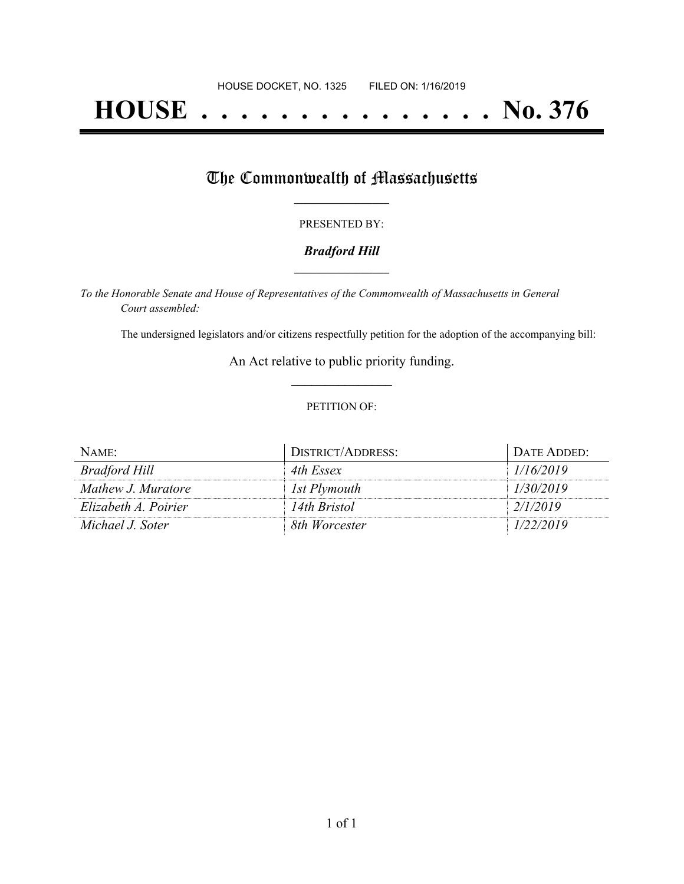# **HOUSE . . . . . . . . . . . . . . . No. 376**

## The Commonwealth of Massachusetts

#### PRESENTED BY:

#### *Bradford Hill* **\_\_\_\_\_\_\_\_\_\_\_\_\_\_\_\_\_**

*To the Honorable Senate and House of Representatives of the Commonwealth of Massachusetts in General Court assembled:*

The undersigned legislators and/or citizens respectfully petition for the adoption of the accompanying bill:

An Act relative to public priority funding. **\_\_\_\_\_\_\_\_\_\_\_\_\_\_\_**

#### PETITION OF:

| NAME:                | DISTRICT/ADDRESS: | DATE ADDED: |
|----------------------|-------------------|-------------|
| Bradford Hill        | 4th Essex         | 1/16/2019   |
| Mathew J. Muratore   | 1st Plymouth      | 1/30/2019   |
| Elizabeth A. Poirier | 14th Bristol      | 2/1/2019    |
| Michael J. Soter     | 8th Worcester     | 1/22/2019   |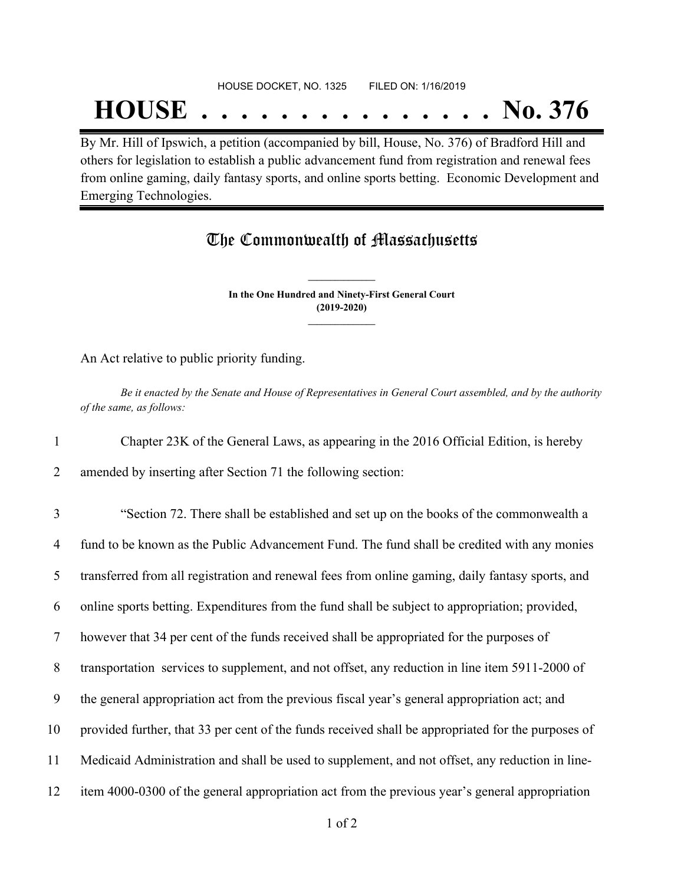## HOUSE DOCKET, NO. 1325 FILED ON: 1/16/2019

## **HOUSE . . . . . . . . . . . . . . . No. 376**

By Mr. Hill of Ipswich, a petition (accompanied by bill, House, No. 376) of Bradford Hill and others for legislation to establish a public advancement fund from registration and renewal fees from online gaming, daily fantasy sports, and online sports betting. Economic Development and Emerging Technologies.

### The Commonwealth of Massachusetts

**In the One Hundred and Ninety-First General Court (2019-2020) \_\_\_\_\_\_\_\_\_\_\_\_\_\_\_**

**\_\_\_\_\_\_\_\_\_\_\_\_\_\_\_**

An Act relative to public priority funding.

Be it enacted by the Senate and House of Representatives in General Court assembled, and by the authority *of the same, as follows:*

1 Chapter 23K of the General Laws, as appearing in the 2016 Official Edition, is hereby

2 amended by inserting after Section 71 the following section:

 "Section 72. There shall be established and set up on the books of the commonwealth a fund to be known as the Public Advancement Fund. The fund shall be credited with any monies transferred from all registration and renewal fees from online gaming, daily fantasy sports, and online sports betting. Expenditures from the fund shall be subject to appropriation; provided, however that 34 per cent of the funds received shall be appropriated for the purposes of transportation services to supplement, and not offset, any reduction in line item 5911-2000 of the general appropriation act from the previous fiscal year's general appropriation act; and provided further, that 33 per cent of the funds received shall be appropriated for the purposes of Medicaid Administration and shall be used to supplement, and not offset, any reduction in line-item 4000-0300 of the general appropriation act from the previous year's general appropriation